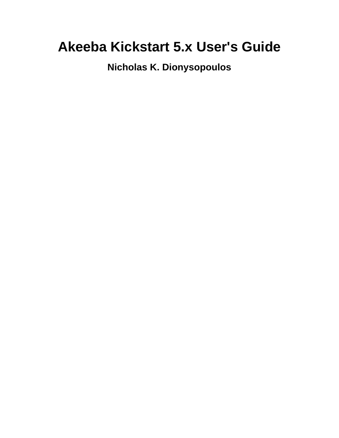# **Akeeba Kickstart 5.x User's Guide**

**Nicholas K. Dionysopoulos**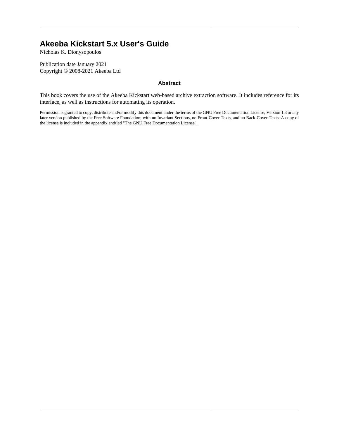### **Akeeba Kickstart 5.x User's Guide**

Nicholas K. Dionysopoulos

Publication date January 2021 Copyright © 2008-2021 Akeeba Ltd

#### **Abstract**

This book covers the use of the Akeeba Kickstart web-based archive extraction software. It includes reference for its interface, as well as instructions for automating its operation.

Permission is granted to copy, distribute and/or modify this document under the terms of the GNU Free Documentation License, Version 1.3 or any later version published by the Free Software Foundation; with no Invariant Sections, no Front-Cover Texts, and no Back-Cover Texts. A copy of the license is included in the appendix entitled "The GNU Free Documentation License".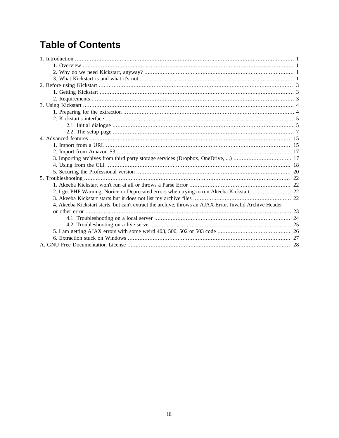## **Table of Contents**

| 4. Akeeba Kickstart starts, but can't extract the archive, throws an AJAX Error, Invalid Archive Header |  |
|---------------------------------------------------------------------------------------------------------|--|
|                                                                                                         |  |
|                                                                                                         |  |
|                                                                                                         |  |
|                                                                                                         |  |
|                                                                                                         |  |
|                                                                                                         |  |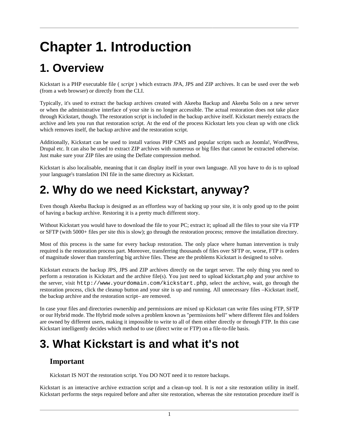# <span id="page-3-0"></span>**Chapter 1. Introduction**

## <span id="page-3-1"></span>**1. Overview**

Kickstart is a PHP executable file ( *script* ) which extracts JPA, JPS and ZIP archives. It can be used over the web (from a web browser) or directly from the CLI.

Typically, it's used to extract the backup archives created with Akeeba Backup and Akeeba Solo on a new server or when the administrative interface of your site is no longer accessible. The actual restoration does not take place through Kickstart, though. The restoration script is included in the backup archive itself. Kickstart merely extracts the archive and lets you run that restoration script. At the end of the process Kickstart lets you clean up with one click which removes itself, the backup archive and the restoration script.

Additionally, Kickstart can be used to install various PHP CMS and popular scripts such as Joomla!, WordPress, Drupal etc. It can also be used to extract ZIP archives with numerous or big files that cannot be extracted otherwise. Just make sure your ZIP files are using the Deflate compression method.

Kickstart is also localisable, meaning that it can display itself in your own language. All you have to do is to upload your language's translation INI file in the same directory as Kickstart.

## <span id="page-3-2"></span>**2. Why do we need Kickstart, anyway?**

Even though Akeeba Backup is designed as an effortless way of backing up your site, it is only good up to the point of having a backup archive. Restoring it is a pretty much different story.

Without Kickstart you would have to download the file to your PC; extract it; upload all the files to your site via FTP or SFTP (with 5000+ files per site this is slow); go through the restoration process; remove the installation directory.

Most of this process is the same for every backup restoration. The only place where human intervention is truly required is the restoration process part. Moreover, transferring thousands of files over SFTP or, worse, FTP is orders of magnitude slower than transferring big archive files. These are the problems Kickstart is designed to solve.

Kickstart extracts the backup JPS, JPS and ZIP archives directly on the target server. The only thing you need to perform a restoration is Kickstart and the archive file(s). You just need to upload kickstart.php and your archive to the server, visit http://www.yourdomain.com/kickstart.php, select the archive, wait, go through the restoration process, click the cleanup button and your site is up and running. All unnecessary files –Kickstart itself, the backup archive and the restoration script– are removed.

In case your files and directories ownership and permissions are mixed up Kickstart can write files using FTP, SFTP or our Hybrid mode. The Hybrid mode solves a problem known as "permissions hell" where different files and folders are owned by different users, making it impossible to write to all of them either directly or through FTP. In this case Kickstart intelligently decides which method to use (direct write or FTP) on a file-to-file basis.

## <span id="page-3-3"></span>**3. What Kickstart is and what it's not**

### **Important**

Kickstart IS NOT the restoration script. You DO NOT need it to restore backups.

Kickstart is an interactive archive extraction script and a clean-up tool. It is *not* a site restoration utility in itself. Kickstart performs the steps required before and after site restoration, whereas the site restoration procedure itself is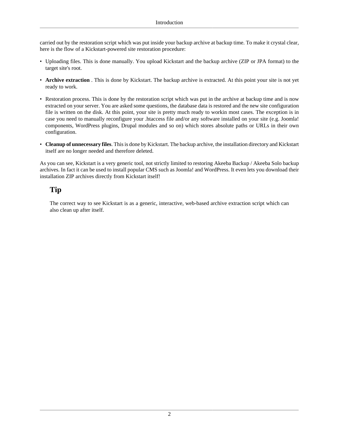carried out by the restoration script which was put inside your backup archive at backup time. To make it crystal clear, here is the flow of a Kickstart-powered site restoration procedure:

- Uploading files. This is done manually. You upload Kickstart and the backup archive (ZIP or JPA format) to the target site's root.
- **Archive extraction** . This is done by Kickstart. The backup archive is extracted. At this point your site is not yet ready to work.
- Restoration process. This is done by the restoration script which was put in the archive at backup time and is now extracted on your server. You are asked some questions, the database data is restored and the new site configuration file is written on the disk. At this point, your site is pretty much ready to workin most cases. The exception is in case you need to manually reconfigure your .htaccess file and/or any software installed on your site (e.g. Joomla! components, WordPress plugins, Drupal modules and so on) which stores absolute paths or URLs in their own configuration.
- **Cleanup of unnecessary files**. This is done by Kickstart. The backup archive, the installation directory and Kickstart itself are no longer needed and therefore deleted.

As you can see, Kickstart is a very generic tool, not strictly limited to restoring Akeeba Backup / Akeeba Solo backup archives. In fact it can be used to install popular CMS such as Joomla! and WordPress. It even lets you download their installation ZIP archives directly from Kickstart itself!

### **Tip**

The correct way to see Kickstart is as a generic, interactive, web-based archive extraction script which can also clean up after itself.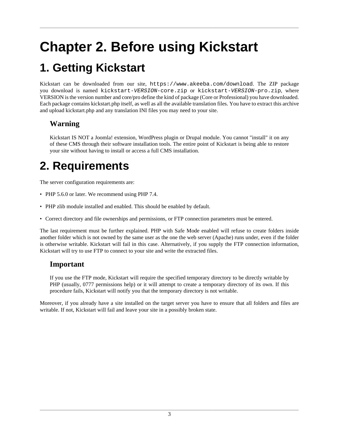# <span id="page-5-0"></span>**Chapter 2. Before using Kickstart**

## <span id="page-5-1"></span>**1. Getting Kickstart**

Kickstart can be downloaded from our site, <https://www.akeeba.com/download>. The ZIP package you download is named kickstart-VERSION-core.zip or kickstart-VERSION-pro.zip, where VERSION is the version number and core/pro define the kind of package (Core or Professional) you have downloaded. Each package contains kickstart.php itself, as well as all the available translation files. You have to extract this archive and upload kickstart.php and any translation INI files you may need to your site.

### **Warning**

Kickstart IS NOT a Joomla! extension, WordPress plugin or Drupal module. You cannot "install" it on any of these CMS through their software installation tools. The entire point of Kickstart is being able to restore your site without having to install or access a full CMS installation.

## <span id="page-5-2"></span>**2. Requirements**

The server configuration requirements are:

- PHP 5.6.0 or later. We recommend using PHP 7.4.
- PHP zlib module installed and enabled. This should be enabled by default.
- Correct directory and file ownerships and permissions, or FTP connection parameters must be entered.

The last requirement must be further explained. PHP with Safe Mode enabled will refuse to create folders inside another folder which is not owned by the same user as the one the web server (Apache) runs under, even if the folder is otherwise writable. Kickstart will fail in this case. Alternatively, if you supply the FTP connection information, Kickstart will try to use FTP to connect to your site and write the extracted files.

### **Important**

If you use the FTP mode, Kickstart will require the specified temporary directory to be directly writable by PHP (usually, 0777 permissions help) or it will attempt to create a temporary directory of its own. If this procedure fails, Kickstart will notify you that the temporary directory is not writable.

Moreover, if you already have a site installed on the target server you have to ensure that all folders and files are writable. If not, Kickstart will fail and leave your site in a possibly broken state.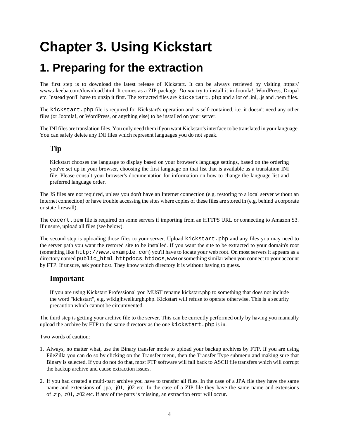# <span id="page-6-0"></span>**Chapter 3. Using Kickstart**

## <span id="page-6-1"></span>**1. Preparing for the extraction**

The first step is to download the latest release of Kickstart. It can be always retrieved by visiting [https://](https://www.akeeba.com/download.html) [www.akeeba.com/download.html.](https://www.akeeba.com/download.html) It comes as a ZIP package. *Do not* try to install it in Joomla!, WordPress, Drupal etc. Instead you'll have to unzip it first. The extracted files are kickstart.php and a lot of .ini, .js and .pem files.

The kickstart.php file is required for Kickstart's operation and is self-contained, i.e. it doesn't need any other files (or Joomla!, or WordPress, or anything else) to be installed on your server.

The INI files are translation files. You only need them if you want Kickstart's interface to be translated in your language. You can safely delete any INI files which represent languages you do not speak.

### **Tip**

Kickstart chooses the language to display based on your browser's language settings, based on the ordering you've set up in your browser, choosing the first language on that list that is available as a translation INI file. Please consult your browser's documentation for information on how to change the language list and preferred language order.

The JS files are not required, unless you don't have an Internet connection (e.g. restoring to a local server without an Internet connection) or have trouble accessing the sites where copies of these files are stored in (e.g. behind a corporate or state firewall).

The cacert.pem file is required on some servers if importing from an HTTPS URL or connecting to Amazon S3. If unsure, upload all files (see below).

The second step is uploading those files to your server. Upload kickstart.php and any files you may need to the server path you want the restored site to be installed. If you want the site to be extracted to your domain's root (something like http://www.example.com) you'll have to locate your web root. On most servers it appears as a directory named public\_html, httpdocs, htdocs, www or something similar when you connect to your account by FTP. If unsure, ask your host. They know which directory it is without having to guess.

### **Important**

If you are using Kickstart Professional you MUST rename kickstart.php to something that does not include the word "kickstart", e.g. wfklgjhwelkurgh.php. Kickstart will refuse to operate otherwise. This is a security precaution which cannot be circumvented.

The third step is getting your archive file to the server. This can be currently performed only by having you manually upload the archive by FTP to the same directory as the one kickstart.php is in.

Two words of caution:

- 1. Always, no matter what, use the Binary transfer mode to upload your backup archives by FTP. If you are using FileZilla you can do so by clicking on the Transfer menu, then the Transfer Type submenu and making sure that Binary is selected. If you do not do that, most FTP software will fall back to ASCII file transfers which will corrupt the backup archive and cause extraction issues.
- 2. If you had created a multi-part archive you have to transfer all files. In the case of a JPA file they have the same name and extensions of .jpa, .j01, .j02 etc. In the case of a ZIP file they have the same name and extensions of .zip, .z01, .z02 etc. If any of the parts is missing, an extraction error will occur.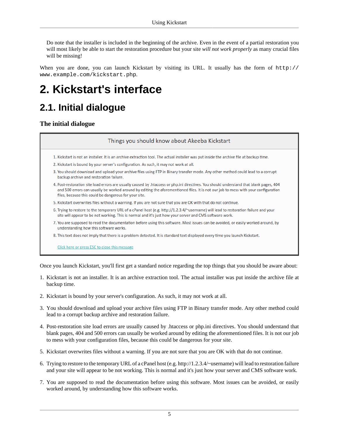Do note that the installer is included in the beginning of the archive. Even in the event of a partial restoration you will most likely be able to start the restoration procedure but your site *will not work properly* as many crucial files will be missing!

When you are done, you can launch Kickstart by visiting its URL. It usually has the form of http:// www.example.com/kickstart.php.

## <span id="page-7-0"></span>**2. Kickstart's interface**

### <span id="page-7-1"></span>**2.1. Initial dialogue**

**The initial dialogue**

### Things you should know about Akeeba Kickstart 1. Kickstart is not an installer. It is an archive extraction tool. The actual installer was put inside the archive file at backup time. 2. Kickstart is bound by your server's configuration. As such, it may not work at all. 3. You should download and upload your archive files using FTP in Binary transfer mode. Any other method could lead to a corrupt backup archive and restoration failure. 4. Post-restoration site load errors are usually caused by .htaccess or php.ini directives. You should understand that blank pages, 404 and 500 errors can usually be worked around by editing the aforementioned files. It is not our job to mess with your configuration files, because this could be dangerous for your site. 5. Kickstart overwrites files without a warning. If you are not sure that you are OK with that do not continue. 6. Trying to restore to the temporary URL of a cPanel host (e.g. http://1.2.3.4/~username) will lead to restoration failure and your site will appear to be not working. This is normal and it's just how your server and CMS software work. 7. You are supposed to read the documentation before using this software. Most issues can be avoided, or easily worked around, by understanding how this software works. 8. This text does not imply that there is a problem detected. It is standard text displayed every time you launch Kickstart. Click here or press ESC to close this message

Once you launch Kickstart, you'll first get a standard notice regarding the top things that you should be aware about:

- 1. Kickstart is not an installer. It is an archive extraction tool. The actual installer was put inside the archive file at backup time.
- 2. Kickstart is bound by your server's configuration. As such, it may not work at all.
- 3. You should download and upload your archive files using FTP in Binary transfer mode. Any other method could lead to a corrupt backup archive and restoration failure.
- 4. Post-restoration site load errors are usually caused by .htaccess or php.ini directives. You should understand that blank pages, 404 and 500 errors can usually be worked around by editing the aforementioned files. It is not our job to mess with your configuration files, because this could be dangerous for your site.
- 5. Kickstart overwrites files without a warning. If you are not sure that you are OK with that do not continue.
- 6. Trying to restore to the temporary URL of a cPanel host (e.g. http://1.2.3.4/~username) will lead to restoration failure and your site will appear to be not working. This is normal and it's just how your server and CMS software work.
- 7. You are supposed to read the documentation before using this software. Most issues can be avoided, or easily worked around, by understanding how this software works.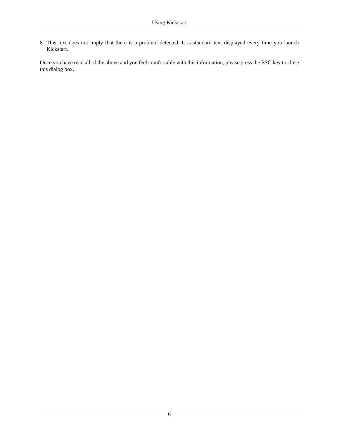8. This text does not imply that there is a problem detected. It is standard text displayed every time you launch Kickstart.

Once you have read all of the above and you feel comfortable with this information, please press the ESC key to close this dialog box.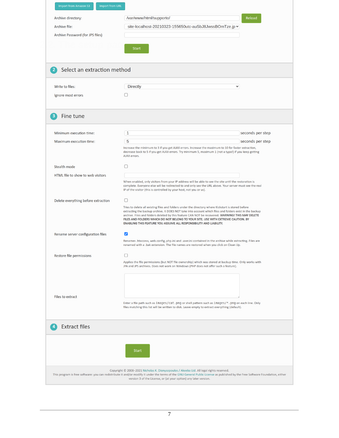<span id="page-9-0"></span>

| Archive file:<br>Archive Password (for JPS files) | site-localhost-20210323-155650utc-auSbJ8JwssBOmTze.jp v                                                                                                                                                                                                                                                                                                                                                                                                                             |                  |
|---------------------------------------------------|-------------------------------------------------------------------------------------------------------------------------------------------------------------------------------------------------------------------------------------------------------------------------------------------------------------------------------------------------------------------------------------------------------------------------------------------------------------------------------------|------------------|
|                                                   | <b>Start</b>                                                                                                                                                                                                                                                                                                                                                                                                                                                                        |                  |
| Select an extraction method<br>$\overline{2}$     |                                                                                                                                                                                                                                                                                                                                                                                                                                                                                     |                  |
| Write to files:                                   | <b>Directly</b><br>$\checkmark$                                                                                                                                                                                                                                                                                                                                                                                                                                                     |                  |
| Ignore most errors                                |                                                                                                                                                                                                                                                                                                                                                                                                                                                                                     |                  |
| Fine tune<br>3                                    |                                                                                                                                                                                                                                                                                                                                                                                                                                                                                     |                  |
| Minimum execution time:                           | $\mathbf{1}$                                                                                                                                                                                                                                                                                                                                                                                                                                                                        | seconds per step |
| Maximum execution time:                           | 5<br>Increase the minimum to 3 if you get AJAX errors. Increase the maximum to 10 for faster extraction,<br>decrease back to 5 if you get AJAX errors. Try minimum 5, maximum 1 (not a typo!) if you keep getting<br>AJAX errors.                                                                                                                                                                                                                                                   | seconds per step |
| <b>Stealth mode</b>                               | u                                                                                                                                                                                                                                                                                                                                                                                                                                                                                   |                  |
| HTML file to show to web visitors                 | When enabled, only visitors from your IP address will be able to see the site until the restoration is<br>complete. Everyone else will be redirected to and only see the URL above. Your server must see the real<br>IP of the visitor (this is controlled by your host, not you or us).                                                                                                                                                                                            |                  |
| Delete everything before extraction               | 0<br>Tries to delete all existing files and folders under the directory where Kickstart is stored before<br>extracting the backup archive. It DOES NOT take into account which files and folders exist in the backup<br>archive. Files and folders deleted by this feature CAN NOT be recovered. WARNING! THIS MAY DELETE<br>FILES AND FOLDERS WHICH DO NOT BELONG TO YOUR SITE. USE WITH EXTREME CAUTION. BY<br>ENABLING THIS FEATURE YOU ASSUME ALL RESPONSIBILITY AND LIABILITY. |                  |
| Rename server configuration files                 | ☑<br>Renames .htaccess, web.config, php.ini and .user.ini contained in the archive while extracting. Files are<br>renamed with a .bak extension. The file names are restored when you click on Clean Up.                                                                                                                                                                                                                                                                            |                  |
| Restore file permissions                          | □<br>Applies the file permissions (but NOT file ownership) which was stored at backup time. Only works with<br>JPA and JPS archives. Does not work on Windows (PHP does not offer such a feature).                                                                                                                                                                                                                                                                                  |                  |
| Files to extract                                  | Enter a file path such as images/cat.png or shell pattern such as images/*.png on each line. Only<br>files matching this list will be written to disk. Leave empty to extract everything (default).                                                                                                                                                                                                                                                                                 |                  |
| <b>Extract files</b><br>$\overline{a}$            |                                                                                                                                                                                                                                                                                                                                                                                                                                                                                     |                  |
|                                                   | <b>Start</b>                                                                                                                                                                                                                                                                                                                                                                                                                                                                        |                  |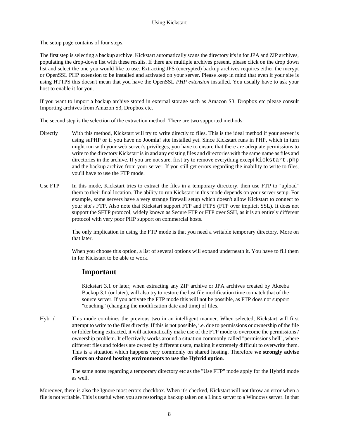The setup page contains of four steps.

The first step is selecting a backup archive. Kickstart automatically scans the directory it's in for JPA and ZIP archives, populating the drop-down list with these results. If there are multiple archives present, please click on the drop down list and select the one you would like to use. Extracting JPS (encrypted) backup archives requires either the mcrypt or OpenSSL PHP extension to be installed and activated on your server. Please keep in mind that even if your site is using HTTPS this doesn't mean that you have the OpenSSL *PHP extension* installed. You usually have to ask your host to enable it for you.

If you want to import a backup archive stored in external storage such as Amazon S3, Dropbox etc please consult [Importing archives from Amazon S3, Dropbox etc.](#page-19-1)

The second step is the selection of the extraction method. There are two supported methods:

- Directly With this method, Kickstart will try to write directly to files. This is the ideal method if your server is using suPHP or if you have no Joomla! site installed yet. Since Kickstart runs in PHP, which in turn might run with your web server's privileges, you have to ensure that there are adequate permissions to write to the directory Kickstart is in and any existing files and directories with the same name as files and directories in the archive. If you are not sure, first try to remove everything except kickstart. php and the backup archive from your server. If you still get errors regarding the inability to write to files, you'll have to use the FTP mode.
- Use FTP In this mode, Kickstart tries to extract the files in a temporary directory, then use FTP to "upload" them to their final location. The ability to run Kickstart in this mode depends on your server setup. For example, some servers have a very strange firewall setup which doesn't allow Kickstart to connect to your site's FTP. Also note that Kickstart support FTP and FTPS (FTP over implicit SSL). It does not support the SFTP protocol, widely known as Secure FTP or FTP over SSH, as it is an entirely different protocol with very poor PHP support on commercial hosts.

The only implication in using the FTP mode is that you need a writable temporary directory. More on that later.

When you choose this option, a list of several options will expand underneath it. You have to fill them in for Kickstart to be able to work.

### **Important**

Kickstart 3.1 or later, when extracting any ZIP archive or JPA archives created by Akeeba Backup 3.1 (or later), will also try to restore the last file modification time to match that of the source server. If you activate the FTP mode this will not be possible, as FTP does not support "touching" (changing the modification date and time) of files.

Hybrid This mode combines the previous two in an intelligent manner. When selected, Kickstart will first attempt to write to the files directly. If this is not possible, i.e. due to permissions or ownership of the file or folder being extracted, it will automatically make use of the FTP mode to overcome the permissions / ownership problem. It effectively works around a situation commonly called "permissions hell", where different files and folders are owned by different users, making it extremely difficult to overwrite them. This is a situation which happens very commonly on shared hosting. Therefore **we strongly advise clients on shared hosting environments to use the Hybrid option**.

> The same notes regarding a temporary directory etc as the "Use FTP" mode apply for the Hybrid mode as well.

Moreover, there is also the Ignore most errors checkbox. When it's checked, Kickstart will not throw an error when a file is not writable. This is useful when you are restoring a backup taken on a Linux server to a Windows server. In that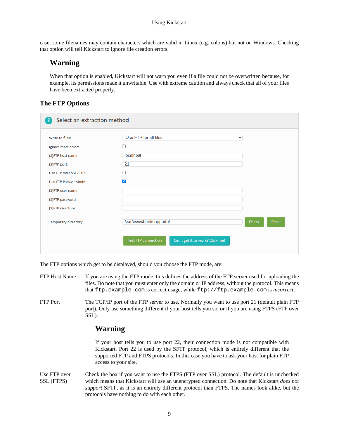case, some filenames may contain characters which are valid in Linux (e.g. colons) but not on Windows. Checking that option will tell Kickstart to ignore file creation errors.

### **Warning**

When that option is enabled, Kickstart will not warn you even if a file could not be overwritten because, for example, its permissions made it unwritable. Use with extreme caution and always check that all of your files have been extracted properly.

#### **The FTP Options**

| Write to files:         | Use FTP for all files                                         | $\checkmark$          |
|-------------------------|---------------------------------------------------------------|-----------------------|
| Ignore most errors      | L.                                                            |                       |
| (S)FTP host name:       | localhost                                                     |                       |
| (S)FTP port:            | 21                                                            |                       |
| Use FTP over SSL (FTPS) | ΙI                                                            |                       |
| Use FTP Passive Mode    | $\blacktriangledown$                                          |                       |
| (S)FTP user name:       |                                                               |                       |
| (S)FTP password:        |                                                               |                       |
| (S)FTP directory:       |                                                               |                       |
| Temporary directory:    | /var/www/html/supporto/                                       | <b>Check</b><br>Reset |
|                         | <b>Test FTP connection</b><br>Can't get it to work? Click me! |                       |

The FTP options which get to be displayed, should you choose the FTP mode, are:

- FTP Host Name If you are using the FTP mode, this defines the address of the FTP server used for uploading the files. Do note that you must enter only the domain or IP address, without the protocol. This means that ftp.example.com is correct usage, while ftp://ftp.example.com is *incorrect*.
- FTP Port The TCP/IP port of the FTP server to use. Normally you want to use port 21 (default plain FTP port). Only use something different if your host tells you so, or if you are using FTPS (FTP over SSL).

### **Warning**

If your host tells you to use port 22, their connection mode is not compatible with Kickstart. Port 22 is used by the SFTP protocol, which is entirely different that the supported FTP and FTPS protocols. In this case you have to ask your host for plain FTP access to your site.

Use FTP over SSL (FTPS) Check the box if you want to use the FTPS (FTP over SSL) protocol. The default is unchecked which means that Kickstart will use an unencrypted connection. Do note that Kickstart *does not support* SFTP, as it is an entirely different protocol than FTPS. The names look alike, but the protocols have nothing to do with each other.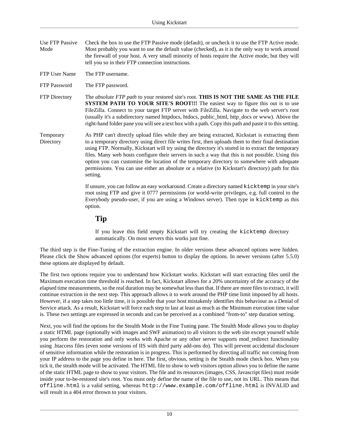- Use FTP Passive Mode Check the box to use the FTP Passive mode (default), or uncheck it to use the FTP Active mode. Most probably you want to use the default value (checked), as it is the only way to work around the firewall of your host. A very small minority of hosts require the Active mode, but they will tell you so in their FTP connection instructions.
- FTP User Name The FTP username.
- FTP Password The FTP password.
- FTP Directory The *absolute FTP path* to your restored site's root. **THIS IS NOT THE SAME AS THE FILE SYSTEM PATH TO YOUR SITE'S ROOT!!!** The easiest way to figure this out is to use FileZilla. Connect to your target FTP server with FileZilla. Navigate to the web server's root (usually it's a subdirectory named httpdocs, htdocs, public\_html, http\_docs or www). Above the right-hand folder pane you will see a text box with a path. Copy this path and paste it to this setting.
- Temporary **Directory** As PHP can't directly upload files while they are being extracted, Kickstart is extracting them to a temporary directory using direct file writes first, then uploads them to their final destination using FTP. Normally, Kickstart will try using the directory it's stored in to extract the temporary files. Many web hosts configure their servers in such a way that this is not possible. Using this option you can customise the location of the temporary directory to somewhere with adequate permissions. You can use either an absolute or a relative (to Kickstart's directory) path for this setting.

If unsure, you can follow an easy workaround. Create a directory named kicktemp in your site's root using FTP and give it 0777 permissions (or world-write privileges, e.g. full control to the Everybody pseudo-user, if you are using a Windows server). Then type in kicktemp as this option.

**Tip**

If you leave this field empty Kickstart will try creating the kicktemp directory automatically. On most servers this works just fine.

The third step is the Fine-Tuning of the extraction engine. In older versions these advanced options were hidden. Please click the Show advanced options (for experts) button to display the options. In newer versions (after 5.5.0) these options are displayed by default.

The first two options require you to understand how Kickstart works. Kickstart will start extracting files until the Maximum execution time threshold is reached. In fact, Kickstart allows for a 20% uncertainty of the accuracy of the elapsed time measurements, so the real duration may be somewhat less than that. If there are more files to extract, it will continue extraction in the next step. This approach allows it to work around the PHP time limit imposed by all hosts. However, if a step takes too little time, it is possible that your host mistakenly identifies this behaviour as a Denial of Service attack. As a result, Kickstart will force each step to last at least as much as the Minimum execution time value is. These two settings are expressed in seconds and can be perceived as a combined "from-to" step duration setting.

Next, you will find the options for the Stealth Mode in the Fine Tuning pane. The Stealth Mode allows you to display a static HTML page (optionally with images and SWF animation) to all visitors to the web site except yourself while you perform the restoration and only works with Apache or any other server supports mod\_redirect functionality using .htaccess files (even some versions of IIS with third party add-ons do). This will prevent accidental disclosure of sensitive information while the restoration is in progress. This is performed by directing all traffic not coming from your IP address to the page you define in here. The first, obvious, setting is the Stealth mode check box. When you tick it, the stealth mode will be activated. The HTML file to show to web visitors option allows you to define the name of the static HTML page to show to your visitors. The file and its resources (images, CSS, Javascript files) must reside inside your to-be-restored site's root. You must only define the name of the file to use, not its URL. This means that offline.html is a valid setting, whereas http://www.example.com/offline.html is INVALID and will result in a 404 error thrown to your visitors.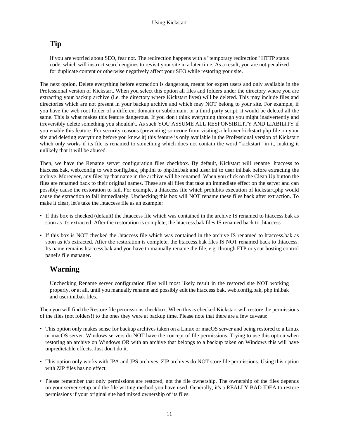### **Tip**

If you are worried about SEO, fear not. The redirection happens with a "temporary redirection" HTTP status code, which will instruct search engines to revisit your site in a later time. As a result, you are not penalized for duplicate content or otherwise negatively affect your SEO while restoring your site.

The next option, Delete everything before extraction is dangerous, meant for expert users and only available in the Professional version of Kickstart. When you select this option all files and folders under the directory where you are extracting your backup archive (i.e. the directory where Kickstart lives) will be deleted. This may include files and directories which are not present in your backup archive and which may NOT belong to your site. For example, if you have the web root folder of a different domain or subdomain, or a third party script, it would be deleted all the same. This is what makes this feature dangerous. If you don't think everything through you might inadvertently and irreversibly delete something you shouldn't. As such YOU ASSUME ALL RESPONSIBILITY AND LIABILITY if you enable this feature. For security reasons (preventing someone from visiting a leftover kickstart.php file on your site and deleting everything before you knew it) this feature is only available in the Professional version of Kickstart which only works if its file is renamed to something which does not contain the word "kickstart" in it, making it unlikely that it will be abused.

Then, we have the Rename server configuration files checkbox. By default, Kickstart will rename .htaccess to htaccess.bak, web.config to web.config.bak, php.ini to php.ini.bak and .user.ini to user.ini.bak before extracting the archive. Moreover, any files by that name in the archive will be renamed. When you click on the Clean Up button the files are renamed back to their original names. These are all files that take an immediate effect on the server and can possibly cause the restoration to fail. For example, a .htaccess file which prohibits execution of kickstart.php would cause the extraction to fail immediately. Unchecking this box will NOT rename these files back after extraction. To make it clear, let's take the .htaccess file as an example:

- If this box is checked (default) the .htaccess file which was contained in the archive IS renamed to htaccess.bak as soon as it's extracted. After the restoration is complete, the htaccess.bak files IS renamed back to .htaccess
- If this box is NOT checked the .htaccess file which was contained in the archive IS renamed to htaccess.bak as soon as it's extracted. After the restoration is complete, the htaccess.bak files IS NOT renamed back to .htaccess. Its name remains htaccess.bak and you have to manually rename the file, e.g. through FTP or your hosting control panel's file manager.

### **Warning**

Unchecking Rename server configuration files will most likely result in the restored site NOT working properly, or at all, until you manually rename and possibly edit the htaccess.bak, web.config.bak, php.ini.bak and user.ini.bak files.

Then you will find the Restore file permissions checkbox. When this is checked Kickstart will restore the permissions of the files (not folders!) to the ones they were at backup time. Please note that there are a few caveats:

- This option only makes sense for backup archives taken on a Linux or macOS server and being restored to a Linux or macOS server. Windows servers do NOT have the concept of file permissions. Trying to use this option when restoring an archive on Windows OR with an archive that belongs to a backup taken on Windows this will have unpredictable effects. Just don't do it.
- This option only works with JPA and JPS archives. ZIP archives do NOT store file permissions. Using this option with ZIP files has no effect.
- Please remember that only permissions are restored, not the file ownership. The ownership of the files depends on your server setup and the file writing method you have used. Generally, it's a REALLY BAD IDEA to restore permissions if your original site had mixed ownership of its files.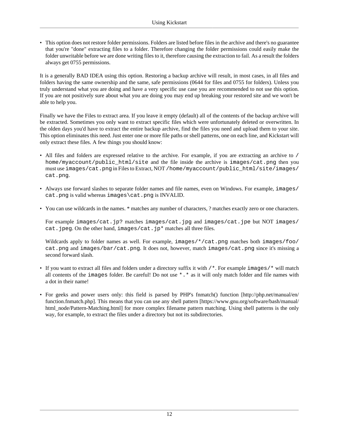• This option does not restore folder permissions. Folders are listed before files in the archive and there's no guarantee that you're "done" extracting files to a folder. Therefore changing the folder permissions could easily make the folder unwritable before we are done writing files to it, therefore causing the extraction to fail. As a result the folders always get 0755 permissions.

It is a generally BAD IDEA using this option. Restoring a backup archive will result, in most cases, in all files and folders having the same ownership and the same, safe permissions (0644 for files and 0755 for folders). Unless you truly understand what you are doing and have a very specific use case you are recommended to not use this option. If you are not positively sure about what you are doing you may end up breaking your restored site and we won't be able to help you.

Finally we have the Files to extract area. If you leave it empty (default) all of the contents of the backup archive will be extracted. Sometimes you only want to extract specific files which were unfortunately deleted or overwritten. In the olden days you'd have to extract the entire backup archive, find the files you need and upload them to your site. This option eliminates this need. Just enter one or more file paths or shell patterns, one on each line, and Kickstart will only extract these files. A few things you should know:

- All files and folders are expressed relative to the archive. For example, if you are extracting an archive to / home/myaccount/public\_html/site and the file inside the archive is images/cat.png then you must use images/cat.png in Files to Extract, NOT /home/myaccount/public\_html/site/images/ cat.png.
- Always use forward slashes to separate folder names and file names, even on Windows. For example, images/ cat.png is valid whereas images\cat.png is INVALID.
- You can use wildcards in the names. \* matches any number of characters, ? matches exactly zero or one characters.

For example images/cat.jp? matches images/cat.jpg and images/cat.jpe but NOT images/ cat. jpeg. On the other hand, images/cat. jp\* matches all three files.

Wildcards apply to folder names as well. For example, images/\*/cat.png matches both images/foo/ cat.png and images/bar/cat.png. It does not, however, match images/cat.png since it's missing a second forward slash.

- If you want to extract all files and folders under a directory suffix it with /\*. For example images/\* will match all contents of the images folder. Be careful! Do not use \*.\* as it will only match folder and file names with a dot in their name!
- For geeks and power users only: this field is parsed by [PHP's fnmatch\(\) function](http://php.net/manual/en/function.fnmatch.php) [\[http://php.net/manual/en/](http://php.net/manual/en/function.fnmatch.php) [function.fnmatch.php](http://php.net/manual/en/function.fnmatch.php)]. This means that you can use any [shell pattern](https://www.gnu.org/software/bash/manual/html_node/Pattern-Matching.html) [[https://www.gnu.org/software/bash/manual/](https://www.gnu.org/software/bash/manual/html_node/Pattern-Matching.html) html node/Pattern-Matching.html] for more complex filename pattern matching. Using shell patterns is the only way, for example, to extract the files under a directory but not its subdirectories.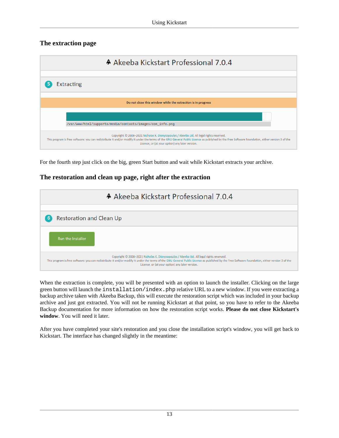### **The extraction page**

| A Akeeba Kickstart Professional 7.0.4                                                                                                                                                                                                                                                                                                          |
|------------------------------------------------------------------------------------------------------------------------------------------------------------------------------------------------------------------------------------------------------------------------------------------------------------------------------------------------|
| <b>Extracting</b>                                                                                                                                                                                                                                                                                                                              |
| Do not close this window while the extraction is in progress                                                                                                                                                                                                                                                                                   |
| /var/www/html/supporto/media/contacts/images/con_info.png                                                                                                                                                                                                                                                                                      |
| Copyright © 2008-2021 Nicholas K. Dionysopoulos / Akeeba Ltd. All legal rights reserved.<br>This program is free software: you can redistribute it and/or modify it under the terms of the GNU General Public License as published by the Free Software Foundation, either version 3 of the<br>License, or (at your option) any later version. |

For the fourth step just click on the big, green Start button and wait while Kickstart extracts your archive.

#### **The restoration and clean up page, right after the extraction**



When the extraction is complete, you will be presented with an option to launch the installer. Clicking on the large green button will launch the installation/index.php relative URL to a new window. If you were extracting a backup archive taken with Akeeba Backup, this will execute the restoration script which was included in your backup archive and just got extracted. You will not be running Kickstart at that point, so you have to refer to the Akeeba Backup documentation for more information on how the restoration script works. **Please do not close Kickstart's window**. You will need it later.

After you have completed your site's restoration and you close the installation script's window, you will get back to Kickstart. The interface has changed slightly in the meantime: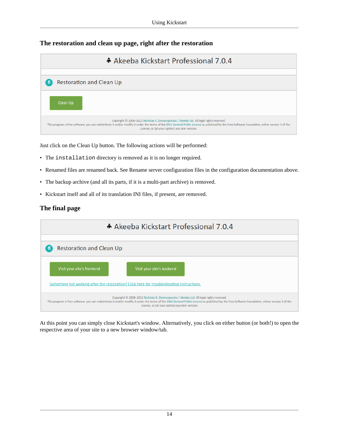### **The restoration and clean up page, right after the restoration**

| A Akeeba Kickstart Professional 7.0.4                                                                                                                                                                                                                                                                                                          |
|------------------------------------------------------------------------------------------------------------------------------------------------------------------------------------------------------------------------------------------------------------------------------------------------------------------------------------------------|
|                                                                                                                                                                                                                                                                                                                                                |
| <b>Restoration and Clean Up</b><br>6                                                                                                                                                                                                                                                                                                           |
| Clean Up                                                                                                                                                                                                                                                                                                                                       |
| Copyright © 2008-2021 Nicholas K. Dionysopoulos / Akeeba Ltd. All legal rights reserved.<br>This program is free software: you can redistribute it and/or modify it under the terms of the GNU General Public License as published by the Free Software Foundation, either version 3 of the<br>License, or (at your option) any later version. |

Just click on the Clean Up button. The following actions will be performed:

- The installation directory is removed as it is no longer required.
- Renamed files are renamed back. See Rename server configuration files in the configuration documentation above.
- The backup archive (and all its parts, if it is a multi-part archive) is removed.
- Kickstart itself and all of its translation INI files, if present, are removed.

#### **The final page**



At this point you can simply close Kickstart's window. Alternatively, you click on either button (or both!) to open the respective area of your site to a new browser window/tab.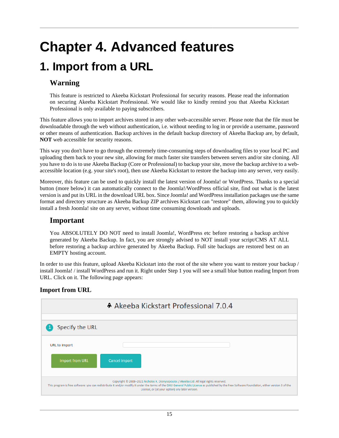# <span id="page-17-0"></span>**Chapter 4. Advanced features**

## <span id="page-17-1"></span>**1. Import from a URL**

### **Warning**

This feature is restricted to Akeeba Kickstart Professional for security reasons. Please read [the information](#page-22-0) [on securing Akeeba Kickstart Professional.](#page-22-0) We would like to kindly remind you that Akeeba Kickstart Professional is only available to paying subscribers.

This feature allows you to import archives stored in any other web-accessible server. Please note that the file must be downloadable through the web without authentication, i.e. without needing to log in or provide a username, password or other means of authentication. Backup archives in the default backup directory of Akeeba Backup are, by default, **NOT** web accessible for security reasons.

This way you don't have to go through the extremely time-consuming steps of downloading files to your local PC and uploading them back to your new site, allowing for much faster site transfers between servers and/or site cloning. All you have to do is to use Akeeba Backup (Core or Professional) to backup your site, move the backup archive to a webaccessible location (e.g. your site's root), then use Akeeba Kickstart to restore the backup into any server, very easily.

Moreover, this feature can be used to quickly install the latest version of Joomla! or WordPress. Thanks to a special button (more below) it can automatically connect to the Joomla!/WordPress official site, find out what is the latest version is and put its URL in the download URL box. Since Joomla! and WordPress installation packages use the same format and directory structure as Akeeba Backup ZIP archives Kickstart can "restore" them, allowing you to quickly install a fresh Joomla! site on any server, without time consuming downloads and uploads.

### **Important**

You ABSOLUTELY DO NOT need to install Joomla!, WordPress etc before restoring a backup archive generated by Akeeba Backup. In fact, you are strongly advised to NOT install your script/CMS AT ALL before restoring a backup archive generated by Akeeba Backup. Full site backups are restored best on an EMPTY hosting account.

In order to use this feature, upload Akeeba Kickstart into the root of the site where you want to restore your backup / install Joomla! / install WordPress and run it. Right under Step 1 you will see a small blue button reading Import from URL. Click on it. The following page appears:

#### **Import from URL**

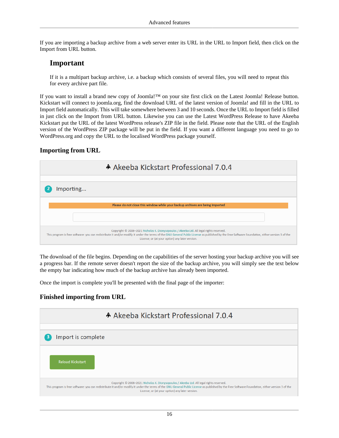If you are importing a backup archive from a web server enter its URL in the URL to Import field, then click on the Import from URL button.

### **Important**

If it is a multipart backup archive, i.e. a backup which consists of several files, you will need to repeat this for every archive part file.

If you want to install a brand new copy of Joomla!™ on your site first click on the Latest Joomla! Release button. Kickstart will connect to joomla.org, find the download URL of the latest version of Joomla! and fill in the URL to Import field automatically. This will take somewhere between 3 and 10 seconds. Once the URL to Import field is filled in just click on the Import from URL button. Likewise you can use the Latest WordPress Release to have Akeeba Kickstart put the URL of the latest WordPress release's ZIP file in the field. Please note that the URL of the English version of the WordPress ZIP package will be put in the field. If you want a different language you need to go to WordPress.org and copy the URL to the localised WordPress package yourself.

#### **Importing from URL**

| A Akeeba Kickstart Professional 7.0.4                                                                                                                                                                                                                                                                                                          |
|------------------------------------------------------------------------------------------------------------------------------------------------------------------------------------------------------------------------------------------------------------------------------------------------------------------------------------------------|
|                                                                                                                                                                                                                                                                                                                                                |
| Importing                                                                                                                                                                                                                                                                                                                                      |
|                                                                                                                                                                                                                                                                                                                                                |
| Please do not close this window while your backup archives are being imported                                                                                                                                                                                                                                                                  |
|                                                                                                                                                                                                                                                                                                                                                |
| Copyright © 2008-2021 Nicholas K. Dionysopoulos / Akeeba Ltd. All legal rights reserved.<br>This program is free software: you can redistribute it and/or modify it under the terms of the GNU General Public License as published by the Free Software Foundation, either version 3 of the<br>License, or (at your option) any later version. |

The download of the file begins. Depending on the capabilities of the server hosting your backup archive you will see a progress bar. If the remote server doesn't report the size of the backup archive, you will simply see the text below the empty bar indicating how much of the backup archive has already been imported.

Once the import is complete you'll be presented with the final page of the importer:

#### **Finished importing from URL**

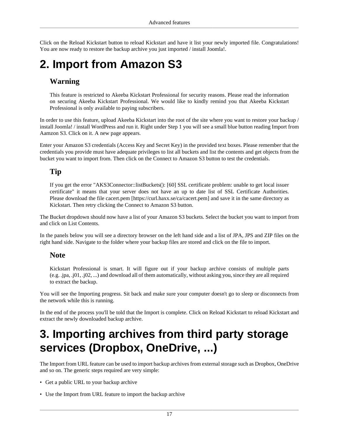Click on the Reload Kickstart button to reload Kickstart and have it list your newly imported file. Congratulations! You are now ready to restore the backup archive you just imported / install Joomla!.

## <span id="page-19-0"></span>**2. Import from Amazon S3**

### **Warning**

This feature is restricted to Akeeba Kickstart Professional for security reasons. Please read [the information](#page-22-0) [on securing Akeeba Kickstart Professional.](#page-22-0) We would like to kindly remind you that Akeeba Kickstart Professional is only available to paying subscribers.

In order to use this feature, upload Akeeba Kickstart into the root of the site where you want to restore your backup / install Joomla! / install WordPress and run it. Right under Step 1 you will see a small blue button reading Import from Aamzon S3. Click on it. A new page appears.

Enter your Amazon S3 credentials (Access Key and Secret Key) in the provided text boxes. Please remember that the credentials you provide must have adequate privileges to list all buckets and list the contents and get objects from the bucket you want to import from. Then click on the Connect to Amazon S3 button to test the credentials.

### **Tip**

If you get the error "AKS3Connector::listBuckets(): [60] SSL certificate problem: unable to get local issuer certificate" it means that your server does not have an up to date list of SSL Certificate Authorities. Please download the file [cacert.pem](https://curl.haxx.se/ca/cacert.pem) [[https://curl.haxx.se/ca/cacert.pem\]](https://curl.haxx.se/ca/cacert.pem) and save it in the same directory as Kickstart. Then retry clicking the Connect to Amazon S3 button.

The Bucket dropdown should now have a list of your Amazon S3 buckets. Select the bucket you want to import from and click on List Contents.

In the panels below you will see a directory browser on the left hand side and a list of JPA, JPS and ZIP files on the right hand side. Navigate to the folder where your backup files are stored and click on the file to import.

### **Note**

Kickstart Professional is smart. It will figure out if your backup archive consists of multiple parts (e.g. .jpa, .j01, .j02, ...) and download all of them automatically, without asking you, since they are all required to extract the backup.

You will see the Importing progress. Sit back and make sure your computer doesn't go to sleep or disconnects from the network while this is running.

In the end of the process you'll be told that the Import is complete. Click on Reload Kickstart to reload Kickstart and extract the newly downloaded backup archive.

## <span id="page-19-1"></span>**3. Importing archives from third party storage services (Dropbox, OneDrive, ...)**

The Import from URL feature can be used to import backup archives from external storage such as Dropbox, OneDrive and so on. The generic steps required are very simple:

- Get a public URL to your backup archive
- Use the Import from URL feature to import the backup archive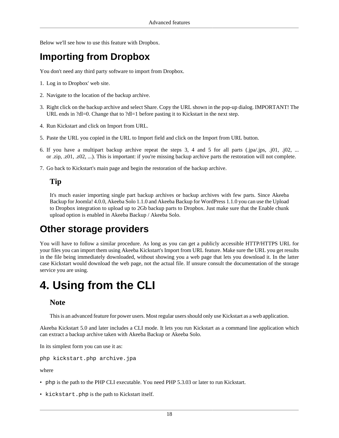Below we'll see how to use this feature with Dropbox.

### **Importing from Dropbox**

You don't need any third party software to import from Dropbox.

- 1. Log in to Dropbox' web site.
- 2. Navigate to the location of the backup archive.
- 3. Right click on the backup archive and select Share. Copy the URL shown in the pop-up dialog. IMPORTANT! The URL ends in ?dl=0. Change that to ?dl=1 before pasting it to Kickstart in the next step.
- 4. Run Kickstart and click on Import from URL.
- 5. Paste the URL you copied in the URL to Import field and click on the Import from URL button.
- 6. If you have a multipart backup archive repeat the steps 3, 4 and 5 for all parts (.jpa/.jps, .j01, .j02, ... or .zip, .z01, .z02, ...). This is important: if you're missing backup archive parts the restoration will not complete.
- 7. Go back to Kickstart's main page and begin the restoration of the backup archive.

### **Tip**

It's much easier importing single part backup archives or backup archives with few parts. Since Akeeba Backup for Joomla! 4.0.0, Akeeba Solo 1.1.0 and Akeeba Backup for WordPress 1.1.0 you can use the Upload to Dropbox integration to upload up to 2Gb backup parts to Dropbox. Just make sure that the Enable chunk upload option is enabled in Akeeba Backup / Akeeba Solo.

### **Other storage providers**

You will have to follow a similar procedure. As long as you can get a publicly accessible HTTP/HTTPS URL for your files you can import them using Akeeba Kickstart's Import from URL feature. Make sure the URL you get results in the file being immediately downloaded, without showing you a web page that lets you download it. In the latter case Kickstart would download the web page, not the actual file. If unsure consult the documentation of the storage service you are using.

## <span id="page-20-0"></span>**4. Using from the CLI**

### **Note**

This is an advanced feature for power users. Most regular users should only use Kickstart as a web application.

Akeeba Kickstart 5.0 and later includes a CLI mode. It lets you run Kickstart as a command line application which can extract a backup archive taken with Akeeba Backup or Akeeba Solo.

In its simplest form you can use it as:

php kickstart.php archive.jpa

where

- php is the path to the PHP CLI executable. You need PHP 5.3.03 or later to run Kickstart.
- kickstart.php is the path to Kickstart itself.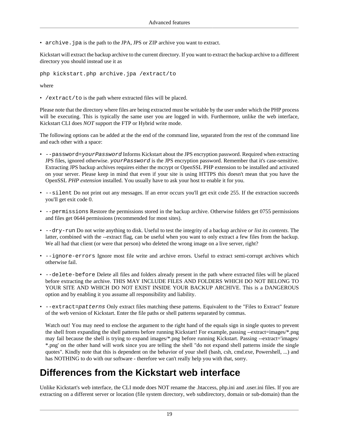• archive.jpa is the path to the JPA, JPS or ZIP archive you want to extract.

Kickstart will extract the backup archive to the current directory. If you want to extract the backup archive to a different directory you should instead use it as

php kickstart.php archive.jpa /extract/to

where

• /extract/to is the path where extracted files will be placed.

Please note that the directory where files are being extracted must be writable by the user under which the PHP process will be executing. This is typically the same user you are logged in with. Furthermore, unlike the web interface, Kickstart CLI does *NOT* support the FTP or Hybrid write mode.

The following options can be added at the the end of the command line, separated from the rest of the command line and each other with a space:

- --password=yourPassword Informs Kickstart about the JPS encryption password. Required when extracting JPS files, ignored otherwise. yourPassword is the JPS encryption password. Remember that it's case-sensitive. Extracting JPS backup archives requires either the mcrypt or OpenSSL PHP extension to be installed and activated on your server. Please keep in mind that even if your site is using HTTPS this doesn't mean that you have the OpenSSL *PHP extension* installed. You usually have to ask your host to enable it for you.
- $--$ silent Do not print out any messages. If an error occurs you'll get exit code 255. If the extraction succeeds you'll get exit code 0.
- --permissions Restore the permissions stored in the backup archive. Otherwise folders get 0755 permissions and files get 0644 permissions (recommended for most sites).
- --dry-run Do not write anything to disk. Useful to test the integrity of a backup archive *or list its contents*. The latter, combined with the --extract flag, can be useful when you want to only extract a few files from the backup. We all had that client (or were that person) who deleted the wrong image on a live server, right?
- --ignore-errors Ignore most file write and archive errors. Useful to extract semi-corrupt archives which otherwise fail.
- --delete-before Delete all files and folders already present in the path where extracted files will be placed before extracting the archive. THIS MAY INCLUDE FILES AND FOLDERS WHICH DO NOT BELONG TO YOUR SITE AND WHICH DO NOT EXIST INSIDE YOUR BACKUP ARCHIVE. This is a DANGEROUS option and by enabling it you assume all responsibility and liability.
- --extract=patterns Only extract files matching these patterns. Equivalent to the "Files to Extract" feature of the web version of Kickstart. Enter the file paths or shell patterns separated by commas.

Watch out! You may need to enclose the argument to the right hand of the equals sign in single quotes to prevent the shell from expanding the shell patterns before running Kickstart! For example, passing --extract=images/\*.png may fail because the shell is trying to expand images/\*.png before running Kickstart. Passing --extract='images/ \*.png' on the other hand will work since you are telling the shell "do not expand shell patterns inside the single quotes". Kindly note that this is dependent on the behavior of your shell (bash, csh, cmd.exe, Powershell, ...) and has NOTHING to do with our software - therefore we can't really help you with that, sorry.

### **Differences from the Kickstart web interface**

Unlike Kickstart's web interface, the CLI mode does NOT rename the .htaccess, php.ini and .user.ini files. If you are extracting on a different server or location (file system directory, web subdirectory, domain or sub-domain) than the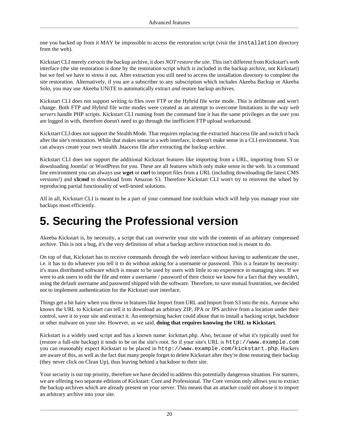one you backed up from it MAY be impossible to access the restoration script (visit the installation directory from the web).

Kickstart CLI merely *extracts* the backup archive, it *does NOT restore the site*. This isn't different from Kickstart's web interface (the site restoration is done by the restoration script which is included in the backup archive, not Kickstart) but we feel we have to stress it out. After extraction you still need to access the installation directory to complete the site restoration. Alternatively, if you are a subscriber to any subscription which includes Akeeba Backup or Akeeba Solo, you may use Akeeba UNiTE to automatically extract *and* restore backup archives.

Kickstart CLI does not support writing to files over FTP or the Hybrid file write mode. This is deliberate and won't change. Both FTP and Hybrid file write modes were created as an attempt to overcome limitations in the way *web servers* handle PHP scripts. Kickstart CLI running from the command line it has the same privileges as the user you are logged in with, therefore doesn't need to go through the inefficient FTP upload workaround.

Kickstart CLI does not support the Stealth Mode. That requires replacing the extracted .htaccess file and switch it back after the site's restoration. While that makes sense in a web interface, it doesn't make sense in a CLI environment. You can always create your own stealth .htaccess file after extracting the backup archive.

Kickstart CLI does not support the additional Kickstart features like importing from a URL, importing from S3 or downloading Joomla! or WordPress for you. These are all features which only make sense in the web. In a command line environment you can always use **wget** or **curl** to import files from a URL (including downloading the latest CMS versions!) and **s3cmd** to download from Amazon S3. Therefore Kickstart CLI won't try to reinvent the wheel by reproducing partial functionality of well-tested solutions.

All in all, Kickstart CLI is meant to be a part of your command line toolchain which will help you manage your site backups most efficiently.

## <span id="page-22-0"></span>**5. Securing the Professional version**

Akeeba Kickstart is, by necessity, a script that can overwrite your site with the contents of an arbitrary compressed archive. This is not a bug, it's the very definition of what a backup archive extraction tool is meant to do.

On top of that, Kickstart has to receive commands through the web interface without having to authenticate the user, i.e. it has to do whatever you tell it to do without asking for a username or password. This is a feature by necessity: it's mass distributed software which is meant to be used by users with little to no experience in managing sites. If we were to ask users to edit the file and enter a username / password of their choice we know for a fact that they wouldn't, using the default username and password shipped with the software. Therefore, to save mutual frustration, we decided not to implement authentication for the Kickstart user interface.

Things get a bit hairy when you throw in features like Import from URL and Import from S3 into the mix. Anyone who knows the URL to Kickstart can tell it to download an arbitrary ZIP, JPA or JPS archive from a location under their control, save it to your site and extract it. An enterprising hacker could abuse that to install a hacking script, backdoor or other malware on your site. However, as we said, **doing that requires knowing the URL to Kickstart**.

Kickstart is a widely used script and has a known name: kickstart.php. Also, because of what it's typically used for (restore a full-site backup) it tends to be on the site's root. So if your site's URL is http://www.example.com you can reasonably expect Kickstart to be placed in http://www.example.com/kickstart.php. Hackers are aware of this, as well as the fact that many people forget to delete Kickstart after they're done restoring their backup (they never click on Clean Up), thus leaving behind a backdoor to their site.

Your security is our top priority, therefore we have decided to address this potentially dangerous situation. For starters, we are offering two separate editions of Kickstart: Core and Professional. The Core version only allows you to extract the backup archives which are already present on your server. This means that an attacker could not abuse it to import an arbitrary archive into your site.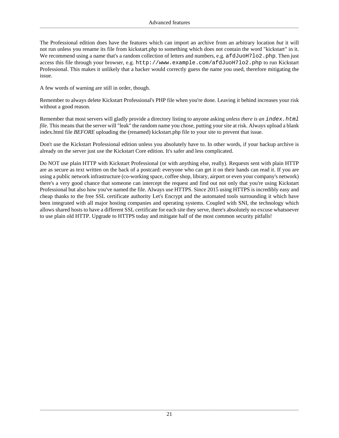The Professional edition does have the features which can import an archive from an arbitrary location *but* it will not run unless you rename its file from kickstart.php to something which does not contain the word "kickstart" in it. We recommend using a name that's a random collection of letters and numbers, e.g. afdJuoH7lo2.php. Then just access this file through your browser, e.g. http://www.example.com/afdJuoH7lo2.php to run Kickstart Professional. This makes it unlikely that a hacker would correctly guess the name you used, therefore mitigating the issue.

A few words of warning are still in order, though.

Remember to always delete Kickstart Professional's PHP file when you're done. Leaving it behind increases your risk without a good reason.

Remember that most servers will gladly provide a directory listing to anyone asking *unless there is an index.html file*. This means that the server will "leak" the random name you chose, putting your site at risk. Always upload a blank index.html file *BEFORE* uploading the (renamed) kickstart.php file to your site to prevent that issue.

Don't use the Kickstart Professional edition unless you absolutely have to. In other words, if your backup archive is already on the server just use the Kickstart Core edition. It's safer and less complicated.

Do NOT use plain HTTP with Kickstart Professional (or with anything else, really). Requests sent with plain HTTP are as secure as text written on the back of a postcard: everyone who can get it on their hands can read it. If you are using a public network infrastructure (co-working space, coffee shop, library, airport or even your company's network) there's a very good chance that someone can intercept the request and find out not only that you're using Kickstart Professional but also how you've named the file. Always use HTTPS. Since 2015 using HTTPS is incredibly easy and cheap thanks to the free SSL certificate authority Let's Encrypt and the automated tools surrounding it which have been integrated with all major hosting companies and operating systems. Coupled with SNI, the technology which allows shared hosts to have a different SSL certificate for each site they serve, there's absolutely no excuse whatsoever to use plain old HTTP. Upgrade to HTTPS today and mitigate half of the most common security pitfalls!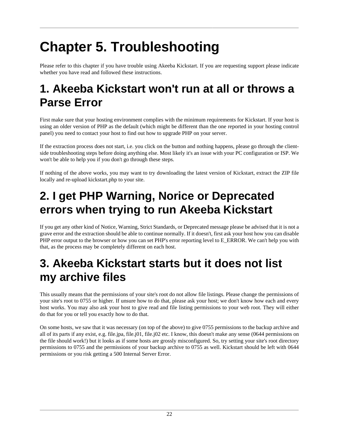# <span id="page-24-0"></span>**Chapter 5. Troubleshooting**

Please refer to this chapter if you have trouble using Akeeba Kickstart. If you are requesting support please indicate whether you have read and followed these instructions.

## <span id="page-24-1"></span>**1. Akeeba Kickstart won't run at all or throws a Parse Error**

First make sure that your hosting environment complies with the minimum requirements for Kickstart. If your host is using an older version of PHP as the default (which might be different than the one reported in your hosting control panel) you need to contact your host to find out how to upgrade PHP on your server.

If the extraction process does not start, i.e. you click on the button and nothing happens, please go through the clientside troubleshooting steps before doing anything else. Most likely it's an issue with your PC configuration or ISP. We won't be able to help you if you don't go through these steps.

If nothing of the above works, you may want to try downloading the latest version of Kickstart, extract the ZIP file locally and re-upload kickstart.php to your site.

## <span id="page-24-2"></span>**2. I get PHP Warning, Norice or Deprecated errors when trying to run Akeeba Kickstart**

If you get any other kind of Notice, Warning, Strict Standards, or Deprecated message please be advised that it is not a grave error and the extraction should be able to continue normally. If it doesn't, first ask your host how you can disable PHP error output to the browser or how you can set PHP's error reporting level to E\_ERROR. We can't help you with that, as the process may be completely different on each host.

## <span id="page-24-3"></span>**3. Akeeba Kickstart starts but it does not list my archive files**

This usually means that the permissions of your site's root do not allow file listings. Please change the permissions of your site's root to 0755 or higher. If unsure how to do that, please ask your host; we don't know how each and every host works. You may also ask your host to give read and file listing permissions to your web root. They will either do that for you or tell you exactly how to do that.

On some hosts, we saw that it was necessary (on top of the above) to give 0755 permissions to the backup archive and all of its parts if any exist, e.g. file.jpa, file.j01, file.j02 etc. I know, this doesn't make any sense (0644 permissions on the file should work!) but it looks as if some hosts are grossly misconfigured. So, try setting your site's root directory permissions to 0755 and the permissions of your backup archive to 0755 as well. Kickstart should be left with 0644 permissions or you risk getting a 500 Internal Server Error.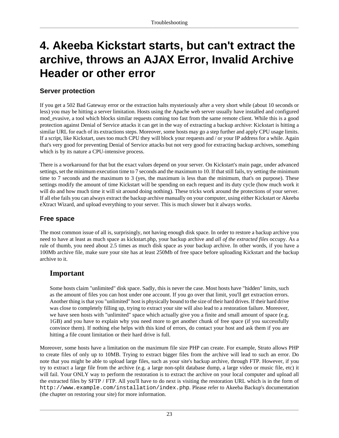## <span id="page-25-0"></span>**4. Akeeba Kickstart starts, but can't extract the archive, throws an AJAX Error, Invalid Archive Header or other error**

### **Server protection**

If you get a 502 Bad Gateway error or the extraction halts mysteriously after a very short while (about 10 seconds or less) you may be hitting a server limitation. Hosts using the Apache web server usually have installed and configured mod\_evasive, a tool which blocks similar requests coming too fast from the same remote client. While this is a good protection against Denial of Service attacks it can get in the way of extracting a backup archive: Kickstart is hitting a similar URL for each of its extractions steps. Moreover, some hosts may go a step further and apply CPU usage limits. If a script, like Kickstart, uses too much CPU they will block your requests and / or your IP address for a while. Again that's very good for preventing Denial of Service attacks but not very good for extracting backup archives, something which is by its nature a CPU-intensive process.

There is a workaround for that but the exact values depend on your server. On Kickstart's main page, under advanced settings, set the minimum execution time to 7 seconds and the maximum to 10. If that still fails, try setting the minimum time to 7 seconds and the maximum to 3 (yes, the maximum is less than the minimum, that's on purpose). These settings modify the amount of time Kickstart will be spending on each request and its duty cycle (how much work it will do and how much time it will sit around doing nothing). These tricks work around the protections of your server. If all else fails you can always extract the backup archive manually on your computer, using either Kickstart or Akeeba eXtract Wizard, and upload everything to your server. This is much slower but it always works.

### **Free space**

The most common issue of all is, surprisingly, not having enough disk space. In order to restore a backup archive you need to have at least as much space as kickstart.php, your backup archive and *all of the extracted files* occupy. As a rule of thumb, you need about 2.5 times as much disk space as your backup archive. In other words, if you have a 100Mb archive file, make sure your site has at least 250Mb of free space before uploading Kickstart and the backup archive to it.

### **Important**

Some hosts claim "unlimited" disk space. Sadly, this is never the case. Most hosts have "hidden" limits, such as the amount of files you can host under one account. If you go over that limit, you'll get extraction errors. Another thing is that you "unlimited" host is physically bound to the size of their hard drives. If their hard drive was close to completely filling up, trying to extract your site will also lead to a restoration failure. Moreover, we have seen hosts with "unlimited" space which actually give you a finite and small amount of space (e.g. 1GB) and you have to explain why you need more to get another chunk of free space (if you successfully convince them). If nothing else helps with this kind of errors, do contact your host and ask them if you are hitting a file count limitation or their hard drive is full.

Moreover, some hosts have a limitation on the maximum file size PHP can create. For example, Strato allows PHP to create files of only up to 10MB. Trying to extract bigger files from the archive will lead to such an error. Do note that you might be able to upload large files, such as your site's backup archive, through FTP. However, if you try to extract a large file from the archive (e.g. a large non-split database dump, a large video or music file, etc) it will fail. Your ONLY way to perform the restoration is to extract the archive on your local computer and upload all the extracted files by SFTP / FTP. All you'll have to do next is visiting the restoration URL which is in the form of http://www.example.com/installation/index.php. Please refer to Akeeba Backup's documentation (the chapter on restoring your site) for more information.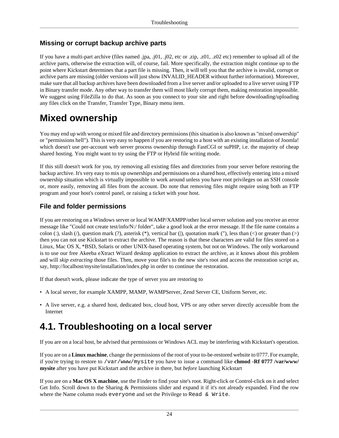### **Missing or corrupt backup archive parts**

If you have a multi-part archive (files named .jpa, .j01, .j02, etc or .zip, .z01, .z02 etc) remember to upload all of the archive parts, otherwise the extraction will, of course, fail. More specifically, the extraction might continue up to the point where Kickstart determines that a part file is missing. Then, it will tell you that the archive is invalid, corrupt or archive parts are missing (older versions will just show INVALID\_HEADER without further information). Moreover, make sure that all backup archives have been downloaded from a live server and/or uploaded to a live server using FTP in Binary transfer mode. Any other way to transfer them will most likely corrupt them, making restoration impossible. We suggest using FileZilla to do that. As soon as you connect to your site and right before downloading/uploading any files click on the Transfer, Transfer Type, Binary menu item.

### **Mixed ownership**

You may end up with wrong or mixed file and directory permissions (this situation is also known as "mixed onwership" or "permissions hell"). This is very easy to happen if you are restoring to a host with an existing installation of Joomla! which doesn't use per-account web server process ownership through FastCGI or suPHP, i.e. the majority of cheap shared hosting. You might want to try using the FTP or Hybrid file writing mode.

If this still doesn't work for you, try removing all existing files and directories from your server before restoring the backup archive. It's very easy to mix up ownerships and permissions on a shared host, effectively entering into a mixed ownership situation which is virtually impossible to work around unless you have root privileges on an SSH console or, more easily, removing all files from the account. Do note that removing files might require using both an FTP program and your host's control panel, or raising a ticket with your host.

### **File and folder permissions**

If you are restoring on a Windows server or local WAMP/XAMPP/other local server solution and you receive an error message like "Could not create test/info/N:/ folder", take a good look at the error message. If the file name contains a colon (:), slash (/), question mark (?), asterisk (\*), vertical bar (|), quotation mark ("), less than  $(\le)$  or greater than  $(\ge)$ then you can not use Kickstart to extract the archive. The reason is that these characters are valid for files stored on a Linux, Mac OS X, \*BSD, Solaris or other UNIX-based operating system, but not on Windows. The only workaround is to use our free Akeeba eXtract Wizard desktop application to extract the archive, as it knows about this problem and will *skip extracting* those files. Then, move your file's to the new site's root and access the restoration script as, say, http://localhost/mysite/installation/index.php in order to continue the restoration.

If that doesn't work, please indicate the type of server you are restoring to

- [A local server](#page-26-0), for example XAMPP, MAMP, WAMPServer, Zend Server CE, Uniform Server, etc.
- [A live server,](#page-27-0) e.g. a shared host, dedicated box, cloud host, VPS or any other server directly accessible from the Internet

### <span id="page-26-0"></span>**4.1. Troubleshooting on a local server**

If you are on a local host, be advised that permissions or Windows ACL may be interfering with Kickstart's operation.

If you are on a **Linux machine**, change the permissions of the root of your to-be-restored website to 0777. For example, if you're trying to restore to /var/www/mysite you have to issue a command like **chmod -Rf 0777 /var/www/ mysite** after you have put Kickstart and the archive in there, but *before* launching Kickstart

If you are on a **Mac OS X machine**, use the Finder to find your site's root. Right-click or Control-click on it and select Get Info. Scroll down to the Sharing & Permissions slider and expand it if it's not already expanded. Find the row where the Name column reads everyone and set the Privilege to Read & Write.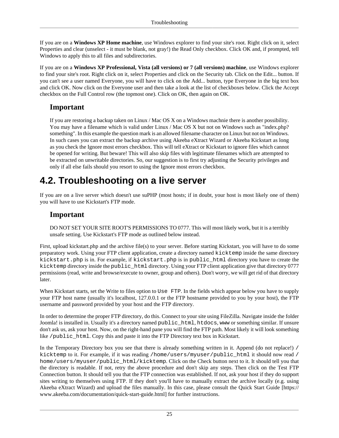If you are on a **Windows XP Home machine**, use Windows explorer to find your site's root. Right click on it, select Properties and clear (unselect - it must be blank, not gray!) the Read Only checkbox. Click OK and, if prompted, tell Windows to apply this to all files and subdirectories.

If you are on a **Windows XP Professional, Vista (all versions) or 7 (all versions) machine**, use Windows explorer to find your site's root. Right click on it, select Properties and click on the Security tab. Click on the Edit... button. If you can't see a user named Everyone, you will have to click on the Add... button, type Everyone in the big text box and click OK. Now click on the Everyone user and then take a look at the list of checkboxes below. Click the Accept checkbox on the Full Control row (the topmost one). Click on OK, then again on OK.

### **Important**

If you are restoring a backup taken on Linux / Mac OS X on a Windows machnie there is another possibility. You may have a filename which is valid under Linux / Mac OS X but not on Windows such as "index.php? something". In this example the question mark is an allowed filename character on Linux but not on Windows. In such cases you can extract the backup archive using Akeeba eXtract Wizard or Akeeba Kickstart as long as you check the Ignore most errors checkbox. This will tell eXtract or Kickstart to ignore files which cannot be opened for writing. But beware! This will also skip files with legitimate filenames which are attempted to be extracted on unwritable directories. So, our suggestion is to first try adjusting the Security privileges and only if all else fails should you resort to using the Ignore most errors checkbox.

### <span id="page-27-0"></span>**4.2. Troubleshooting on a live server**

If you are on a live server which doesn't use suPHP (most hosts; if in doubt, your host is most likely one of them) you will have to use Kickstart's FTP mode.

### **Important**

DO NOT SET YOUR SITE ROOT'S PERMISSIONS TO 0777. This will most likely work, but it is a terribly unsafe setting. Use Kickstart's FTP mode as outlined below instead.

First, upload kickstart.php and the archive file(s) to your server. Before starting Kickstart, you will have to do some preparatory work. Using your FTP client application, create a directory named kicktemp inside the same directory kickstart.php is in. For example, if kickstart.php is in public html directory you have to create the kicktemp directory inside the public\_html directory. Using your FTP client application give that directory 0777 permissions (read, write and browse/execute to owner, group and others). Don't worry, we will get rid of that directory later.

When Kickstart starts, set the Write to files option to Use FTP. In the fields which appear below you have to supply your FTP host name (usually it's localhost, 127.0.0.1 or the FTP hostname provided to you by your host), the FTP username and password provided by your host and the FTP directory.

In order to determine the proper FTP directory, do this. Connect to your site using FileZilla. Navigate inside the folder Joomla! is installed in. Usually it's a directory named public\_html, htdocs, www or something similar. If unsure don't ask us, ask your host. Now, on the right-hand pane you will find the FTP path. Most likely it will look something like /public\_html. Copy this and paste it into the FTP Directory text box in Kickstart.

In the Temporary Directory box you see that there is already something written in it. Append (do not replace!) / kicktemp to it. For example, if it was reading /home/users/myuser/public\_html it should now read / home/users/myuser/public\_html/kicktemp. Click on the Check button next to it. It should tell you that the directory is readable. If not, retry the above procedure and don't skip any steps. Then click on the Test FTP Connection button. It should tell you that the FTP connection was established. If not, ask your host if they do support sites writing to themselves using FTP. If they don't you'll have to manually extract the archive locally (e.g. using Akeeba eXtract Wizard) and upload the files manually. In this case, please consult the [Quick Start Guide \[https://](https://www.akeeba.com/documentation/quick-start-guide.html) [www.akeeba.com/documentation/quick-start-guide.html\]](https://www.akeeba.com/documentation/quick-start-guide.html) for further instructions.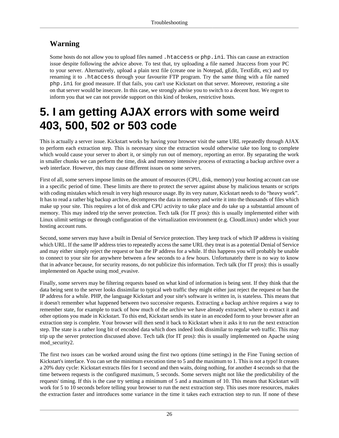### **Warning**

Some hosts do not allow you to upload files named .htaccess or php.ini. This can cause an extraction issue despite following the advice above. To test that, try uploading a file named .htaccess from your PC to your server. Alternatively, upload a plain text file (create one in Notepad, gEdit, TextEdit, etc) and try renaming it to .htaccess through your favourite FTP program. Try the same thing with a file named php.ini for good measure. If that fails, you can't use Kickstart on that server. Moreover, restoring a site on that server would be insecure. In this case, we strongly advise you to switch to a decent host. We regret to inform you that we can not provide support on this kind of broken, restrictive hosts.

## <span id="page-28-0"></span>**5. I am getting AJAX errors with some weird 403, 500, 502 or 503 code**

This is actually a server issue. Kickstart works by having your browser visit the same URL repeatedly through AJAX to perform each extraction step. This is necessary since the extraction would otherwise take too long to complete which would cause your server to abort it, or simply run out of memory, reporting an error. By separating the work in smaller chunks we can perform the time, disk and memory intensive process of extracting a backup archive over a web interface. However, this may cause different issues on some servers.

First of all, some servers impose limits on the amount of resources (CPU, disk, memory) your hosting account can use in a specific period of time. These limits are there to protect the server against abuse by malicious tenants or scripts with coding mistakes which result in very high resource usage. By its very nature, Kickstart needs to do "heavy work". It has to read a rather big backup archive, decompress the data in memory and write it into the thousands of files which make up your site. This requires a lot of disk and CPU activity to take place and do take up a substantial amount of memory. This may indeed trip the server protection. Tech talk (for IT pros): this is usually implemented either with Linux ulimit settings or through configuration of the virtualization environment (e.g. CloudLinux) under which your hosting account runs.

Second, some servers may have a built in Denial of Service protection. They keep track of which IP address is visiting which URL. If the same IP address tries to repeatedly access the same URL they treat is as a potential Denial of Service and may either simply reject the request or ban the IP address for a while. If this happens you will probably be unable to connect to your site for anywhere between a few seconds to a few hours. Unfortunately there is no way to know that in advance because, for security reasons, do not publicize this information. Tech talk (for IT pros): this is usually implemented on Apache using mod\_evasive.

Finally, some servers may be filtering requests based on what kind of information is being sent. If they think that the data being sent to the server looks dissimilar to typical web traffic they might either just reject the request or ban the IP address for a while. PHP, the language Kickstart and your site's software is written in, is stateless. This means that it doesn't remember what happened between two successive requests. Extracting a backup archive requires a way to remember state, for example to track of how much of the archive we have already extracted, where to extract it and other options you made in Kickstart. To this end, Kickstart sends its state in an encoded form to your browser after an extraction step is complete. Your browser will then send it back to Kickstart when it asks it to run the next extraction step. The state is a rather long bit of encoded data which does indeed look dissimilar to regular web traffic. This may trip up the server protection discussed above. Tech talk (for IT pros): this is usually implemented on Apache using mod\_security2.

The first two issues can be worked around using the first two options (time settings) in the Fine Tuning section of Kickstart's interface. You can set the minimum execution time to 5 and the maximum to 1. This is not a typo! It creates a 20% duty cycle: Kickstart extracts files for 1 second and then waits, doing nothing, for another 4 seconds so that the time between requests is the configured maximum, 5 seconds. Some servers might not like the predictability of the requests' timing. If this is the case try setting a minimum of 5 and a maximum of 10. This means that Kickstart will work for 5 to 10 seconds before telling your browser to run the next extraction step. This uses more resources, makes the extraction faster and introduces some variance in the time it takes each extraction step to run. If none of these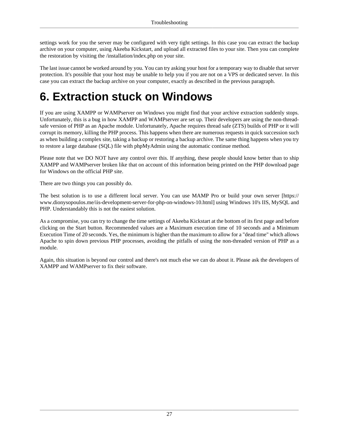settings work for you the server may be configured with very tight settings. In this case you can extract the backup archive on your computer, using Akeeba Kickstart, and upload all extracted files to your site. Then you can complete the restoration by visiting the /installation/index.php on your site.

The last issue cannot be worked around by you. You can try asking your host for a temporary way to disable that server protection. It's possible that your host may be unable to help you if you are not on a VPS or dedicated server. In this case you can extract the backup archive on your computer, exactly as described in the previous paragraph.

## <span id="page-29-0"></span>**6. Extraction stuck on Windows**

If you are using XAMPP or WAMPserver on Windows you might find that your archive extraction suddenly stops. Unfortunately, this is a bug in how XAMPP and WAMPserver are set up. Their developers are using the non-threadsafe version of PHP as an Apache module. Unfortunately, Apache requires thread safe (ZTS) builds of PHP or it will corrupt its memory, killing the PHP process. This happens when there are numerous requests in quick succession such as when building a complex site, taking a backup or restoring a backup archive. The same thing happens when you try to restore a large database (SQL) file with phpMyAdmin using the automatic continue method.

Please note that we DO NOT have any control over this. If anything, these people should know better than to ship XAMPP and WAMPserver broken like that on account of this information being printed on the PHP download page for Windows on the official PHP site.

There are two things you can possibly do.

The best solution is to use a different local server. You can use MAMP Pro or [build your own server \[https://](https://www.dionysopoulos.me/iis-development-server-for-php-on-windows-10.html) [www.dionysopoulos.me/iis-development-server-for-php-on-windows-10.html](https://www.dionysopoulos.me/iis-development-server-for-php-on-windows-10.html)] using Windows 10's IIS, MySQL and PHP. Understandably this is not the easiest solution.

As a compromise, you can try to change the time settings of Akeeba Kickstart at the bottom of its first page and before clicking on the Start button. Recommended values are a Maximum execution time of 10 seconds and a Minimum Execution Time of 20 seconds. Yes, the minimum is higher than the maximum to allow for a "dead time" which allows Apache to spin down previous PHP processes, avoiding the pitfalls of using the non-threaded version of PHP as a module.

Again, this situation is beyond our control and there's not much else we can do about it. Please ask the developers of XAMPP and WAMPserver to fix their software.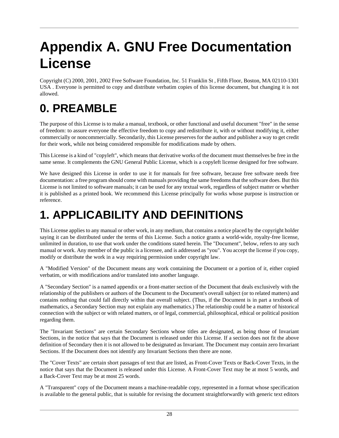# <span id="page-30-0"></span>**Appendix A. GNU Free Documentation License**

Copyright (C) 2000, 2001, 2002 Free Software Foundation, Inc. 51 Franklin St , Fifth Floor, Boston, MA 02110-1301 USA . Everyone is permitted to copy and distribute verbatim copies of this license document, but changing it is not allowed.

## **0. PREAMBLE**

The purpose of this License is to make a manual, textbook, or other functional and useful document "free" in the sense of freedom: to assure everyone the effective freedom to copy and redistribute it, with or without modifying it, either commercially or noncommercially. Secondarily, this License preserves for the author and publisher a way to get credit for their work, while not being considered responsible for modifications made by others.

This License is a kind of "copyleft", which means that derivative works of the document must themselves be free in the same sense. It complements the GNU General Public License, which is a copyleft license designed for free software.

We have designed this License in order to use it for manuals for free software, because free software needs free documentation: a free program should come with manuals providing the same freedoms that the software does. But this License is not limited to software manuals; it can be used for any textual work, regardless of subject matter or whether it is published as a printed book. We recommend this License principally for works whose purpose is instruction or reference.

## **1. APPLICABILITY AND DEFINITIONS**

This License applies to any manual or other work, in any medium, that contains a notice placed by the copyright holder saying it can be distributed under the terms of this License. Such a notice grants a world-wide, royalty-free license, unlimited in duration, to use that work under the conditions stated herein. The "Document", below, refers to any such manual or work. Any member of the public is a licensee, and is addressed as "you". You accept the license if you copy, modify or distribute the work in a way requiring permission under copyright law.

A "Modified Version" of the Document means any work containing the Document or a portion of it, either copied verbatim, or with modifications and/or translated into another language.

A "Secondary Section" is a named appendix or a front-matter section of the Document that deals exclusively with the relationship of the publishers or authors of the Document to the Document's overall subject (or to related matters) and contains nothing that could fall directly within that overall subject. (Thus, if the Document is in part a textbook of mathematics, a Secondary Section may not explain any mathematics.) The relationship could be a matter of historical connection with the subject or with related matters, or of legal, commercial, philosophical, ethical or political position regarding them.

The "Invariant Sections" are certain Secondary Sections whose titles are designated, as being those of Invariant Sections, in the notice that says that the Document is released under this License. If a section does not fit the above definition of Secondary then it is not allowed to be designated as Invariant. The Document may contain zero Invariant Sections. If the Document does not identify any Invariant Sections then there are none.

The "Cover Texts" are certain short passages of text that are listed, as Front-Cover Texts or Back-Cover Texts, in the notice that says that the Document is released under this License. A Front-Cover Text may be at most 5 words, and a Back-Cover Text may be at most 25 words.

A "Transparent" copy of the Document means a machine-readable copy, represented in a format whose specification is available to the general public, that is suitable for revising the document straightforwardly with generic text editors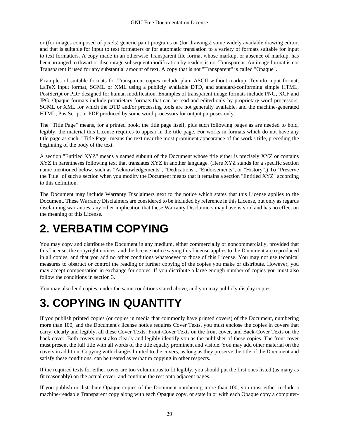or (for images composed of pixels) generic paint programs or (for drawings) some widely available drawing editor, and that is suitable for input to text formatters or for automatic translation to a variety of formats suitable for input to text formatters. A copy made in an otherwise Transparent file format whose markup, or absence of markup, has been arranged to thwart or discourage subsequent modification by readers is not Transparent. An image format is not Transparent if used for any substantial amount of text. A copy that is not "Transparent" is called "Opaque".

Examples of suitable formats for Transparent copies include plain ASCII without markup, Texinfo input format, LaTeX input format, SGML or XML using a publicly available DTD, and standard-conforming simple HTML, PostScript or PDF designed for human modification. Examples of transparent image formats include PNG, XCF and JPG. Opaque formats include proprietary formats that can be read and edited only by proprietary word processors, SGML or XML for which the DTD and/or processing tools are not generally available, and the machine-generated HTML, PostScript or PDF produced by some word processors for output purposes only.

The "Title Page" means, for a printed book, the title page itself, plus such following pages as are needed to hold, legibly, the material this License requires to appear in the title page. For works in formats which do not have any title page as such, "Title Page" means the text near the most prominent appearance of the work's title, preceding the beginning of the body of the text.

A section "Entitled XYZ" means a named subunit of the Document whose title either is precisely XYZ or contains XYZ in parentheses following text that translates XYZ in another language. (Here XYZ stands for a specific section name mentioned below, such as "Acknowledgements", "Dedications", "Endorsements", or "History".) To "Preserve the Title" of such a section when you modify the Document means that it remains a section "Entitled XYZ" according to this definition.

The Document may include Warranty Disclaimers next to the notice which states that this License applies to the Document. These Warranty Disclaimers are considered to be included by reference in this License, but only as regards disclaiming warranties: any other implication that these Warranty Disclaimers may have is void and has no effect on the meaning of this License.

## **2. VERBATIM COPYING**

You may copy and distribute the Document in any medium, either commercially or noncommercially, provided that this License, the copyright notices, and the license notice saying this License applies to the Document are reproduced in all copies, and that you add no other conditions whatsoever to those of this License. You may not use technical measures to obstruct or control the reading or further copying of the copies you make or distribute. However, you may accept compensation in exchange for copies. If you distribute a large enough number of copies you must also follow the conditions in section 3.

You may also lend copies, under the same conditions stated above, and you may publicly display copies.

## **3. COPYING IN QUANTITY**

If you publish printed copies (or copies in media that commonly have printed covers) of the Document, numbering more than 100, and the Document's license notice requires Cover Texts, you must enclose the copies in covers that carry, clearly and legibly, all these Cover Texts: Front-Cover Texts on the front cover, and Back-Cover Texts on the back cover. Both covers must also clearly and legibly identify you as the publisher of these copies. The front cover must present the full title with all words of the title equally prominent and visible. You may add other material on the covers in addition. Copying with changes limited to the covers, as long as they preserve the title of the Document and satisfy these conditions, can be treated as verbatim copying in other respects.

If the required texts for either cover are too voluminous to fit legibly, you should put the first ones listed (as many as fit reasonably) on the actual cover, and continue the rest onto adjacent pages.

If you publish or distribute Opaque copies of the Document numbering more than 100, you must either include a machine-readable Transparent copy along with each Opaque copy, or state in or with each Opaque copy a computer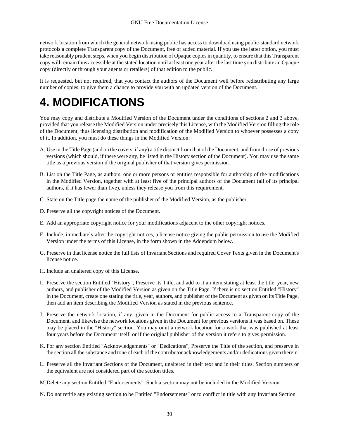network location from which the general network-using public has access to download using public-standard network protocols a complete Transparent copy of the Document, free of added material. If you use the latter option, you must take reasonably prudent steps, when you begin distribution of Opaque copies in quantity, to ensure that this Transparent copy will remain thus accessible at the stated location until at least one year after the last time you distribute an Opaque copy (directly or through your agents or retailers) of that edition to the public.

It is requested, but not required, that you contact the authors of the Document well before redistributing any large number of copies, to give them a chance to provide you with an updated version of the Document.

## **4. MODIFICATIONS**

You may copy and distribute a Modified Version of the Document under the conditions of sections 2 and 3 above, provided that you release the Modified Version under precisely this License, with the Modified Version filling the role of the Document, thus licensing distribution and modification of the Modified Version to whoever possesses a copy of it. In addition, you must do these things in the Modified Version:

- A. Use in the Title Page (and on the covers, if any) a title distinct from that of the Document, and from those of previous versions (which should, if there were any, be listed in the History section of the Document). You may use the same title as a previous version if the original publisher of that version gives permission.
- B. List on the Title Page, as authors, one or more persons or entities responsible for authorship of the modifications in the Modified Version, together with at least five of the principal authors of the Document (all of its principal authors, if it has fewer than five), unless they release you from this requirement.
- C. State on the Title page the name of the publisher of the Modified Version, as the publisher.
- D. Preserve all the copyright notices of the Document.
- E. Add an appropriate copyright notice for your modifications adjacent to the other copyright notices.
- F. Include, immediately after the copyright notices, a license notice giving the public permission to use the Modified Version under the terms of this License, in the form shown in the Addendum below.
- G. Preserve in that license notice the full lists of Invariant Sections and required Cover Texts given in the Document's license notice.
- H. Include an unaltered copy of this License.
- I. Preserve the section Entitled "History", Preserve its Title, and add to it an item stating at least the title, year, new authors, and publisher of the Modified Version as given on the Title Page. If there is no section Entitled "History" in the Document, create one stating the title, year, authors, and publisher of the Document as given on its Title Page, then add an item describing the Modified Version as stated in the previous sentence.
- J. Preserve the network location, if any, given in the Document for public access to a Transparent copy of the Document, and likewise the network locations given in the Document for previous versions it was based on. These may be placed in the "History" section. You may omit a network location for a work that was published at least four years before the Document itself, or if the original publisher of the version it refers to gives permission.
- K. For any section Entitled "Acknowledgements" or "Dedications", Preserve the Title of the section, and preserve in the section all the substance and tone of each of the contributor acknowledgements and/or dedications given therein.
- L. Preserve all the Invariant Sections of the Document, unaltered in their text and in their titles. Section numbers or the equivalent are not considered part of the section titles.
- M.Delete any section Entitled "Endorsements". Such a section may not be included in the Modified Version.
- N. Do not retitle any existing section to be Entitled "Endorsements" or to conflict in title with any Invariant Section.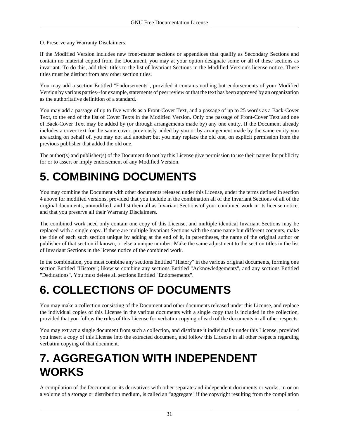O. Preserve any Warranty Disclaimers.

If the Modified Version includes new front-matter sections or appendices that qualify as Secondary Sections and contain no material copied from the Document, you may at your option designate some or all of these sections as invariant. To do this, add their titles to the list of Invariant Sections in the Modified Version's license notice. These titles must be distinct from any other section titles.

You may add a section Entitled "Endorsements", provided it contains nothing but endorsements of your Modified Version by various parties--for example, statements of peer review or that the text has been approved by an organization as the authoritative definition of a standard.

You may add a passage of up to five words as a Front-Cover Text, and a passage of up to 25 words as a Back-Cover Text, to the end of the list of Cover Texts in the Modified Version. Only one passage of Front-Cover Text and one of Back-Cover Text may be added by (or through arrangements made by) any one entity. If the Document already includes a cover text for the same cover, previously added by you or by arrangement made by the same entity you are acting on behalf of, you may not add another; but you may replace the old one, on explicit permission from the previous publisher that added the old one.

The author(s) and publisher(s) of the Document do not by this License give permission to use their names for publicity for or to assert or imply endorsement of any Modified Version.

## **5. COMBINING DOCUMENTS**

You may combine the Document with other documents released under this License, under the terms defined in section 4 above for modified versions, provided that you include in the combination all of the Invariant Sections of all of the original documents, unmodified, and list them all as Invariant Sections of your combined work in its license notice, and that you preserve all their Warranty Disclaimers.

The combined work need only contain one copy of this License, and multiple identical Invariant Sections may be replaced with a single copy. If there are multiple Invariant Sections with the same name but different contents, make the title of each such section unique by adding at the end of it, in parentheses, the name of the original author or publisher of that section if known, or else a unique number. Make the same adjustment to the section titles in the list of Invariant Sections in the license notice of the combined work.

In the combination, you must combine any sections Entitled "History" in the various original documents, forming one section Entitled "History"; likewise combine any sections Entitled "Acknowledgements", and any sections Entitled "Dedications". You must delete all sections Entitled "Endorsements".

## **6. COLLECTIONS OF DOCUMENTS**

You may make a collection consisting of the Document and other documents released under this License, and replace the individual copies of this License in the various documents with a single copy that is included in the collection, provided that you follow the rules of this License for verbatim copying of each of the documents in all other respects.

You may extract a single document from such a collection, and distribute it individually under this License, provided you insert a copy of this License into the extracted document, and follow this License in all other respects regarding verbatim copying of that document.

## **7. AGGREGATION WITH INDEPENDENT WORKS**

A compilation of the Document or its derivatives with other separate and independent documents or works, in or on a volume of a storage or distribution medium, is called an "aggregate" if the copyright resulting from the compilation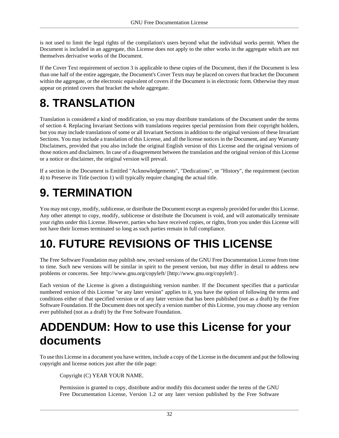is not used to limit the legal rights of the compilation's users beyond what the individual works permit. When the Document is included in an aggregate, this License does not apply to the other works in the aggregate which are not themselves derivative works of the Document.

If the Cover Text requirement of section 3 is applicable to these copies of the Document, then if the Document is less than one half of the entire aggregate, the Document's Cover Texts may be placed on covers that bracket the Document within the aggregate, or the electronic equivalent of covers if the Document is in electronic form. Otherwise they must appear on printed covers that bracket the whole aggregate.

## **8. TRANSLATION**

Translation is considered a kind of modification, so you may distribute translations of the Document under the terms of section 4. Replacing Invariant Sections with translations requires special permission from their copyright holders, but you may include translations of some or all Invariant Sections in addition to the original versions of these Invariant Sections. You may include a translation of this License, and all the license notices in the Document, and any Warranty Disclaimers, provided that you also include the original English version of this License and the original versions of those notices and disclaimers. In case of a disagreement between the translation and the original version of this License or a notice or disclaimer, the original version will prevail.

If a section in the Document is Entitled "Acknowledgements", "Dedications", or "History", the requirement (section 4) to Preserve its Title (section 1) will typically require changing the actual title.

## **9. TERMINATION**

You may not copy, modify, sublicense, or distribute the Document except as expressly provided for under this License. Any other attempt to copy, modify, sublicense or distribute the Document is void, and will automatically terminate your rights under this License. However, parties who have received copies, or rights, from you under this License will not have their licenses terminated so long as such parties remain in full compliance.

## **10. FUTURE REVISIONS OF THIS LICENSE**

The Free Software Foundation may publish new, revised versions of the GNU Free Documentation License from time to time. Such new versions will be similar in spirit to the present version, but may differ in detail to address new problems or concerns. See<http://www.gnu.org/copyleft/>[[http://www.gnu.org/copyleft/\]](http://www.gnu.org/copyleft/) .

Each version of the License is given a distinguishing version number. If the Document specifies that a particular numbered version of this License "or any later version" applies to it, you have the option of following the terms and conditions either of that specified version or of any later version that has been published (not as a draft) by the Free Software Foundation. If the Document does not specify a version number of this License, you may choose any version ever published (not as a draft) by the Free Software Foundation.

## **ADDENDUM: How to use this License for your documents**

To use this License in a document you have written, include a copy of the License in the document and put the following copyright and license notices just after the title page:

Copyright (C) YEAR YOUR NAME.

Permission is granted to copy, distribute and/or modify this document under the terms of the GNU Free Documentation License, Version 1.2 or any later version published by the Free Software